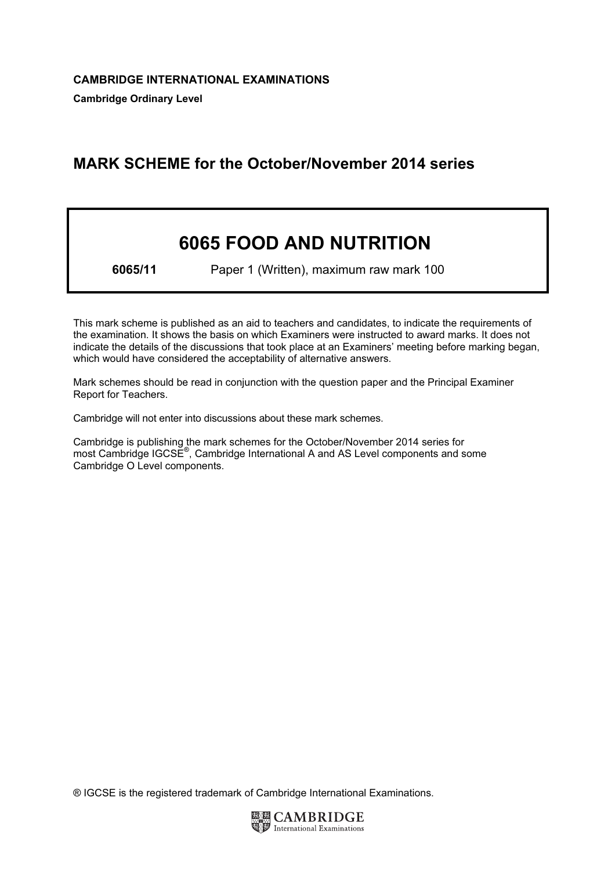# MARK SCHEME for the October/November 2014 series

# 6065 FOOD AND NUTRITION

6065/11 Paper 1 (Written), maximum raw mark 100

This mark scheme is published as an aid to teachers and candidates, to indicate the requirements of the examination. It shows the basis on which Examiners were instructed to award marks. It does not indicate the details of the discussions that took place at an Examiners' meeting before marking began, which would have considered the acceptability of alternative answers.

Mark schemes should be read in conjunction with the question paper and the Principal Examiner Report for Teachers.

Cambridge will not enter into discussions about these mark schemes.

Cambridge is publishing the mark schemes for the October/November 2014 series for most Cambridge IGCSE<sup>®</sup>, Cambridge International A and AS Level components and some Cambridge O Level components.

® IGCSE is the registered trademark of Cambridge International Examinations.

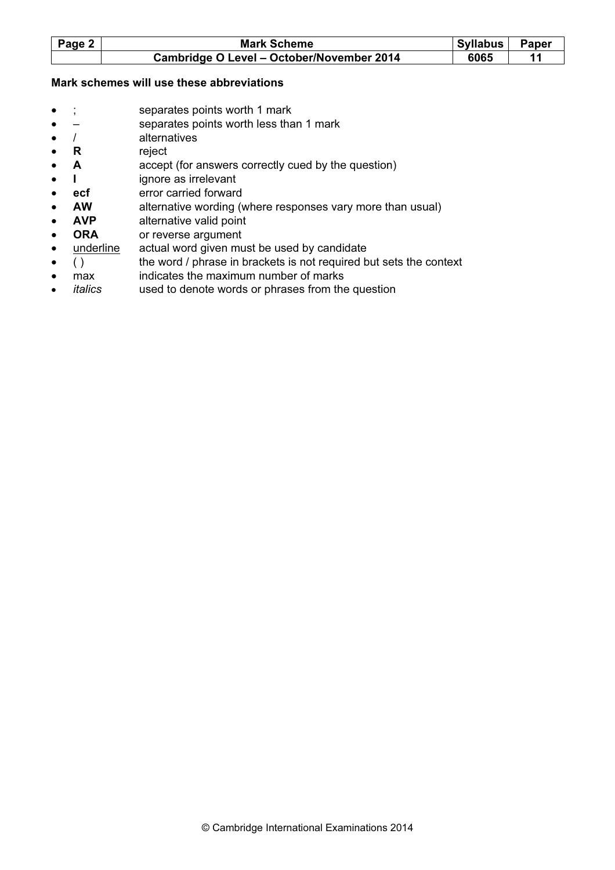| Page 2 | <b>Mark Scheme</b>                        | Syllabus | <b>Paper</b> |
|--------|-------------------------------------------|----------|--------------|
|        | Cambridge O Level - October/November 2014 | 6065     |              |

#### Mark schemes will use these abbreviations

- ; separates points worth 1 mark
- – separates points worth less than 1 mark
- / alternatives
- R reject
- A accept (for answers correctly cued by the question)
- I ignore as irrelevant
- ecf error carried forward
- AW alternative wording (where responses vary more than usual)
- **AVP** alternative valid point
- ORA or reverse argument
- underline actual word given must be used by candidate
- () the word / phrase in brackets is not required but sets the context
- max indicates the maximum number of marks italics used to denote words or phrases from the
- used to denote words or phrases from the question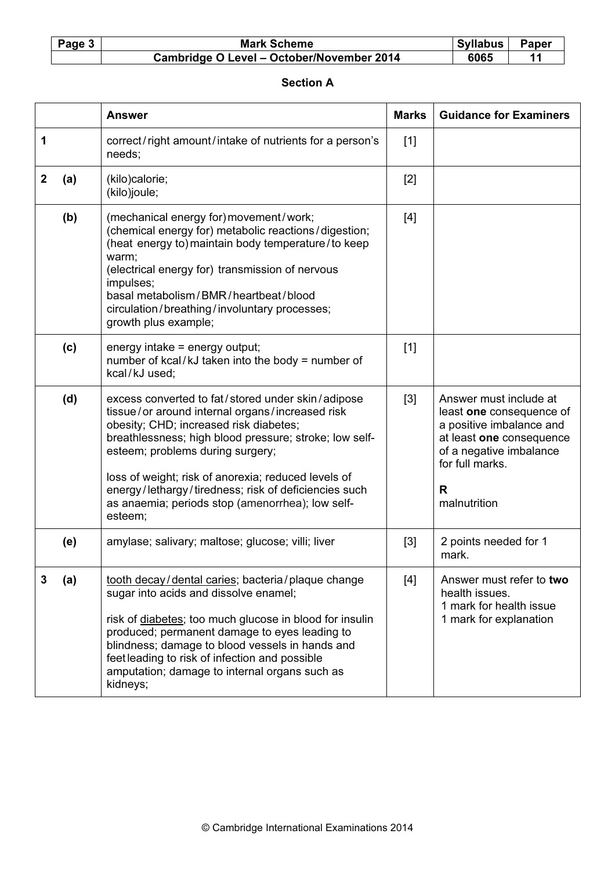| Page 3 | <b>Mark Scheme</b>                        | Syllabus | <b>Paper</b> |
|--------|-------------------------------------------|----------|--------------|
|        | Cambridge O Level - October/November 2014 | 6065     |              |

#### Section A

|   |     | <b>Answer</b>                                                                                                                                                                                                                                                                                                                                                                                                              | <b>Marks</b> | <b>Guidance for Examiners</b>                                                                                                                                                 |
|---|-----|----------------------------------------------------------------------------------------------------------------------------------------------------------------------------------------------------------------------------------------------------------------------------------------------------------------------------------------------------------------------------------------------------------------------------|--------------|-------------------------------------------------------------------------------------------------------------------------------------------------------------------------------|
| 1 |     | correct/right amount/intake of nutrients for a person's<br>needs;                                                                                                                                                                                                                                                                                                                                                          | $[1]$        |                                                                                                                                                                               |
| 2 | (a) | (kilo)calorie;<br>(kilo)joule;                                                                                                                                                                                                                                                                                                                                                                                             | $[2]$        |                                                                                                                                                                               |
|   | (b) | (mechanical energy for) movement/work;<br>(chemical energy for) metabolic reactions/digestion;<br>(heat energy to) maintain body temperature/to keep<br>warm;<br>(electrical energy for) transmission of nervous<br>impulses;<br>basal metabolism/BMR/heartbeat/blood<br>circulation/breathing/involuntary processes;<br>growth plus example;                                                                              | $[4]$        |                                                                                                                                                                               |
|   | (c) | energy intake = energy output;<br>number of kcal/kJ taken into the body = number of<br>kcal/kJ used;                                                                                                                                                                                                                                                                                                                       | $[1]$        |                                                                                                                                                                               |
|   | (d) | excess converted to fat/stored under skin/adipose<br>tissue/or around internal organs/increased risk<br>obesity; CHD; increased risk diabetes;<br>breathlessness; high blood pressure; stroke; low self-<br>esteem; problems during surgery;<br>loss of weight; risk of anorexia; reduced levels of<br>energy/lethargy/tiredness; risk of deficiencies such<br>as anaemia; periods stop (amenorrhea); low self-<br>esteem; | [3]          | Answer must include at<br>least one consequence of<br>a positive imbalance and<br>at least one consequence<br>of a negative imbalance<br>for full marks.<br>R<br>malnutrition |
|   | (e) | amylase; salivary; maltose; glucose; villi; liver                                                                                                                                                                                                                                                                                                                                                                          | $[3]$        | 2 points needed for 1<br>mark.                                                                                                                                                |
| 3 | (a) | tooth decay/dental caries; bacteria/plaque change<br>sugar into acids and dissolve enamel;<br>risk of diabetes; too much glucose in blood for insulin<br>produced; permanent damage to eyes leading to<br>blindness; damage to blood vessels in hands and<br>feet leading to risk of infection and possible<br>amputation; damage to internal organs such as<br>kidneys;                                                   | $[4]$        | Answer must refer to two<br>health issues.<br>1 mark for health issue<br>1 mark for explanation                                                                               |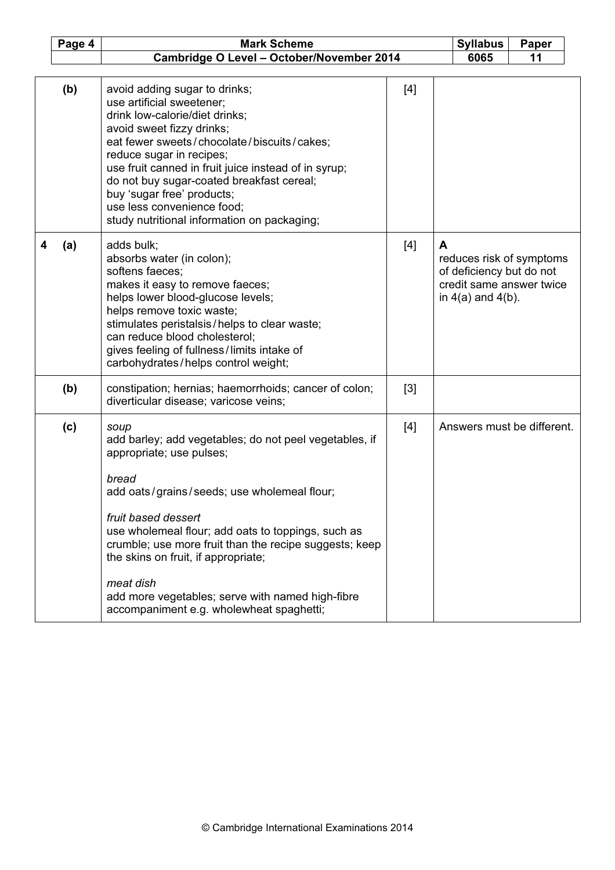|   | Page 4 | <b>Mark Scheme</b><br><b>Syllabus</b>                                                                                                                                                                                                                                                                                                                                                                                                         |       |    |                                                    | Paper                                                |
|---|--------|-----------------------------------------------------------------------------------------------------------------------------------------------------------------------------------------------------------------------------------------------------------------------------------------------------------------------------------------------------------------------------------------------------------------------------------------------|-------|----|----------------------------------------------------|------------------------------------------------------|
|   |        | Cambridge O Level - October/November 2014                                                                                                                                                                                                                                                                                                                                                                                                     | 6065  | 11 |                                                    |                                                      |
|   |        |                                                                                                                                                                                                                                                                                                                                                                                                                                               |       |    |                                                    |                                                      |
|   | (b)    | avoid adding sugar to drinks;<br>use artificial sweetener;<br>drink low-calorie/diet drinks;<br>avoid sweet fizzy drinks;<br>eat fewer sweets/chocolate/biscuits/cakes;<br>reduce sugar in recipes;<br>use fruit canned in fruit juice instead of in syrup;<br>do not buy sugar-coated breakfast cereal;<br>buy 'sugar free' products;<br>use less convenience food;<br>study nutritional information on packaging;                           | $[4]$ |    |                                                    |                                                      |
| 4 | (a)    | adds bulk;<br>absorbs water (in colon);<br>softens faeces;<br>makes it easy to remove faeces;<br>helps lower blood-glucose levels;<br>helps remove toxic waste;<br>stimulates peristalsis/helps to clear waste;<br>can reduce blood cholesterol;<br>gives feeling of fullness/limits intake of<br>carbohydrates/helps control weight;                                                                                                         | $[4]$ | A  | of deficiency but do not<br>in $4(a)$ and $4(b)$ . | reduces risk of symptoms<br>credit same answer twice |
|   | (b)    | constipation; hernias; haemorrhoids; cancer of colon;<br>diverticular disease; varicose veins;                                                                                                                                                                                                                                                                                                                                                | [3]   |    |                                                    |                                                      |
|   | (c)    | soup<br>add barley; add vegetables; do not peel vegetables, if<br>appropriate; use pulses;<br>bread<br>add oats/grains/seeds; use wholemeal flour;<br>fruit based dessert<br>use wholemeal flour; add oats to toppings, such as<br>crumble; use more fruit than the recipe suggests; keep<br>the skins on fruit, if appropriate;<br>meat dish<br>add more vegetables; serve with named high-fibre<br>accompaniment e.g. wholewheat spaghetti; | $[4]$ |    |                                                    | Answers must be different.                           |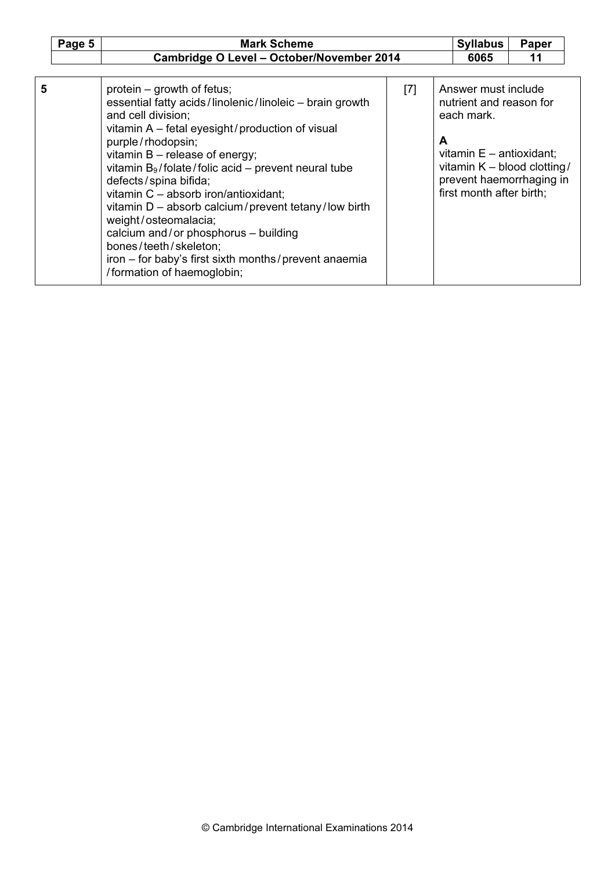|   | Page 5 | <b>Mark Scheme</b>                                                                                                                                                                                                                                                                                                                                                                                                                                                                                                                                                                         |       |   | <b>Syllabus</b>                                                                                                                                                                   | Paper |  |
|---|--------|--------------------------------------------------------------------------------------------------------------------------------------------------------------------------------------------------------------------------------------------------------------------------------------------------------------------------------------------------------------------------------------------------------------------------------------------------------------------------------------------------------------------------------------------------------------------------------------------|-------|---|-----------------------------------------------------------------------------------------------------------------------------------------------------------------------------------|-------|--|
|   |        | Cambridge O Level - October/November 2014                                                                                                                                                                                                                                                                                                                                                                                                                                                                                                                                                  |       |   | 6065                                                                                                                                                                              | 11    |  |
|   |        |                                                                                                                                                                                                                                                                                                                                                                                                                                                                                                                                                                                            |       |   |                                                                                                                                                                                   |       |  |
| 5 |        | protein – growth of fetus;<br>essential fatty acids/linolenic/linoleic - brain growth<br>and cell division;<br>vitamin A - fetal eyesight/production of visual<br>purple/rhodopsin;<br>vitamin $B$ – release of energy;<br>vitamin $B_9$ /folate/folic acid – prevent neural tube<br>defects/spina bifida;<br>vitamin C - absorb iron/antioxidant;<br>vitamin $D -$ absorb calcium/prevent tetany/low birth<br>weight/osteomalacia;<br>calcium and/or phosphorus - building<br>bones/teeth/skeleton;<br>iron – for baby's first sixth months/prevent anaemia<br>/formation of haemoglobin; | $[7]$ | A | Answer must include<br>nutrient and reason for<br>each mark.<br>vitamin $E$ – antioxidant;<br>vitamin K - blood clotting/<br>prevent haemorrhaging in<br>first month after birth; |       |  |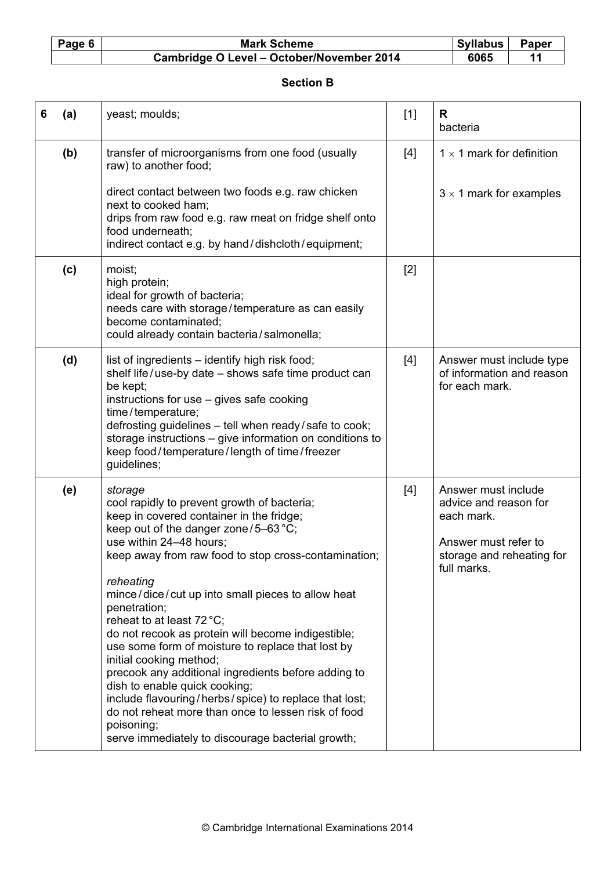## Mark Scheme Syllabus Paper<br>
Paper - October/November 2014 6065 11 Cambridge O Level - October/November 2014

#### Section B

| 6 | (a) | yeast; moulds;                                                                                                                                                                                                                                                                                                                                                                                                                                                                                                                                                                                                                                                                                                                                                | $[1]$ | R<br>bacteria                                                                                                                  |
|---|-----|---------------------------------------------------------------------------------------------------------------------------------------------------------------------------------------------------------------------------------------------------------------------------------------------------------------------------------------------------------------------------------------------------------------------------------------------------------------------------------------------------------------------------------------------------------------------------------------------------------------------------------------------------------------------------------------------------------------------------------------------------------------|-------|--------------------------------------------------------------------------------------------------------------------------------|
|   | (b) | transfer of microorganisms from one food (usually<br>raw) to another food;<br>direct contact between two foods e.g. raw chicken<br>next to cooked ham;<br>drips from raw food e.g. raw meat on fridge shelf onto<br>food underneath;<br>indirect contact e.g. by hand/dishcloth/equipment;                                                                                                                                                                                                                                                                                                                                                                                                                                                                    | $[4]$ | $1 \times 1$ mark for definition<br>$3 \times 1$ mark for examples                                                             |
|   | (c) | moist;<br>high protein;<br>ideal for growth of bacteria;<br>needs care with storage/temperature as can easily<br>become contaminated:<br>could already contain bacteria/salmonella;                                                                                                                                                                                                                                                                                                                                                                                                                                                                                                                                                                           | $[2]$ |                                                                                                                                |
|   | (d) | list of ingredients - identify high risk food;<br>shelf life/use-by date - shows safe time product can<br>be kept;<br>instructions for use - gives safe cooking<br>time/temperature;<br>defrosting guidelines - tell when ready/safe to cook;<br>storage instructions - give information on conditions to<br>keep food/temperature/length of time/freezer<br>guidelines;                                                                                                                                                                                                                                                                                                                                                                                      | $[4]$ | Answer must include type<br>of information and reason<br>for each mark.                                                        |
|   | (e) | storage<br>cool rapidly to prevent growth of bacteria;<br>keep in covered container in the fridge;<br>keep out of the danger zone/5-63 °C;<br>use within 24-48 hours;<br>keep away from raw food to stop cross-contamination;<br>reheating<br>mince/dice/cut up into small pieces to allow heat<br>penetration;<br>reheat to at least 72 °C;<br>do not recook as protein will become indigestible;<br>use some form of moisture to replace that lost by<br>initial cooking method;<br>precook any additional ingredients before adding to<br>dish to enable quick cooking;<br>include flavouring/herbs/spice) to replace that lost;<br>do not reheat more than once to lessen risk of food<br>poisoning;<br>serve immediately to discourage bacterial growth; | [4]   | Answer must include<br>advice and reason for<br>each mark.<br>Answer must refer to<br>storage and reheating for<br>full marks. |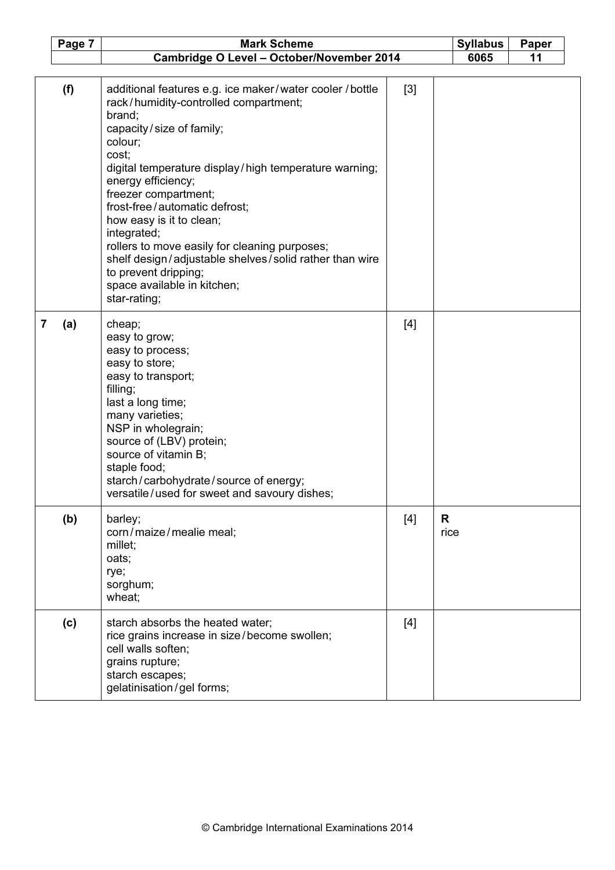|                | Page 7 | <b>Mark Scheme</b>                                                                                                                                                                                                                                                                                                                                                                                                                                                                                                               |       | <b>Syllabus</b> | Paper |
|----------------|--------|----------------------------------------------------------------------------------------------------------------------------------------------------------------------------------------------------------------------------------------------------------------------------------------------------------------------------------------------------------------------------------------------------------------------------------------------------------------------------------------------------------------------------------|-------|-----------------|-------|
|                |        | Cambridge O Level - October/November 2014                                                                                                                                                                                                                                                                                                                                                                                                                                                                                        |       | 6065            | 11    |
|                | (f)    | additional features e.g. ice maker/water cooler / bottle<br>rack/humidity-controlled compartment;<br>brand;<br>capacity/size of family;<br>colour;<br>cost;<br>digital temperature display/high temperature warning;<br>energy efficiency;<br>freezer compartment;<br>frost-free/automatic defrost;<br>how easy is it to clean;<br>integrated;<br>rollers to move easily for cleaning purposes;<br>shelf design/adjustable shelves/solid rather than wire<br>to prevent dripping;<br>space available in kitchen;<br>star-rating; | [3]   |                 |       |
| $\overline{7}$ | (a)    | cheap;<br>easy to grow;<br>easy to process;<br>easy to store;<br>easy to transport;<br>filling;<br>last a long time;<br>many varieties;<br>NSP in wholegrain;<br>source of (LBV) protein;<br>source of vitamin B;<br>staple food;<br>starch/carbohydrate/source of energy;<br>versatile/used for sweet and savoury dishes;                                                                                                                                                                                                       | $[4]$ |                 |       |
|                | (b)    | barley;<br>corn/maize/mealie meal;<br>millet;<br>oats;<br>rye;<br>sorghum;<br>wheat;                                                                                                                                                                                                                                                                                                                                                                                                                                             | $[4]$ | R<br>rice       |       |
|                | (c)    | starch absorbs the heated water;<br>rice grains increase in size/become swollen;<br>cell walls soften;<br>grains rupture;<br>starch escapes;<br>gelatinisation/gel forms;                                                                                                                                                                                                                                                                                                                                                        | $[4]$ |                 |       |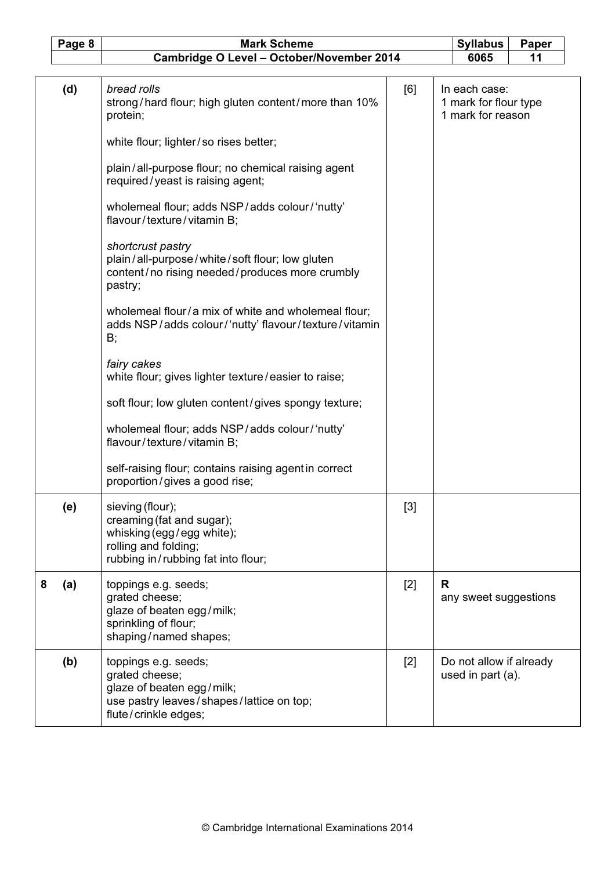|   | Page 8 | <b>Mark Scheme</b>                                                                                                                                                                                                                                                                                                                             |       |   | <b>Syllabus</b>                                             | Paper |  |
|---|--------|------------------------------------------------------------------------------------------------------------------------------------------------------------------------------------------------------------------------------------------------------------------------------------------------------------------------------------------------|-------|---|-------------------------------------------------------------|-------|--|
|   |        |                                                                                                                                                                                                                                                                                                                                                |       |   | 6065                                                        | 11    |  |
|   | (d)    | Cambridge O Level - October/November 2014<br>bread rolls<br>strong/hard flour; high gluten content/more than 10%<br>protein;<br>white flour; lighter/so rises better;<br>plain/all-purpose flour; no chemical raising agent<br>required/yeast is raising agent;<br>wholemeal flour; adds NSP/adds colour/'nutty'<br>flavour/texture/vitamin B; | [6]   |   | In each case:<br>1 mark for flour type<br>1 mark for reason |       |  |
|   |        | shortcrust pastry<br>plain/all-purpose/white/soft flour; low gluten<br>content/no rising needed/produces more crumbly<br>pastry;                                                                                                                                                                                                               |       |   |                                                             |       |  |
|   |        | wholemeal flour/a mix of white and wholemeal flour;<br>adds NSP/adds colour/'nutty' flavour/texture/vitamin<br>B;                                                                                                                                                                                                                              |       |   |                                                             |       |  |
|   |        | fairy cakes<br>white flour; gives lighter texture/easier to raise;                                                                                                                                                                                                                                                                             |       |   |                                                             |       |  |
|   |        | soft flour; low gluten content/gives spongy texture;                                                                                                                                                                                                                                                                                           |       |   |                                                             |       |  |
|   |        | wholemeal flour; adds NSP/adds colour/'nutty'<br>flavour/texture/vitamin B;                                                                                                                                                                                                                                                                    |       |   |                                                             |       |  |
|   |        | self-raising flour; contains raising agent in correct<br>proportion/gives a good rise;                                                                                                                                                                                                                                                         |       |   |                                                             |       |  |
|   | (e)    | sieving (flour);<br>creaming (fat and sugar);<br>whisking (egg / egg white);<br>rolling and folding;<br>rubbing in/rubbing fat into flour;                                                                                                                                                                                                     | $[3]$ |   |                                                             |       |  |
| 8 | (a)    | toppings e.g. seeds;<br>grated cheese;<br>glaze of beaten egg/milk;<br>sprinkling of flour;<br>shaping/named shapes;                                                                                                                                                                                                                           | $[2]$ | R | any sweet suggestions                                       |       |  |
|   | (b)    | toppings e.g. seeds;<br>grated cheese;<br>glaze of beaten egg/milk;<br>use pastry leaves/shapes/lattice on top;<br>flute/crinkle edges;                                                                                                                                                                                                        | $[2]$ |   | Do not allow if already<br>used in part (a).                |       |  |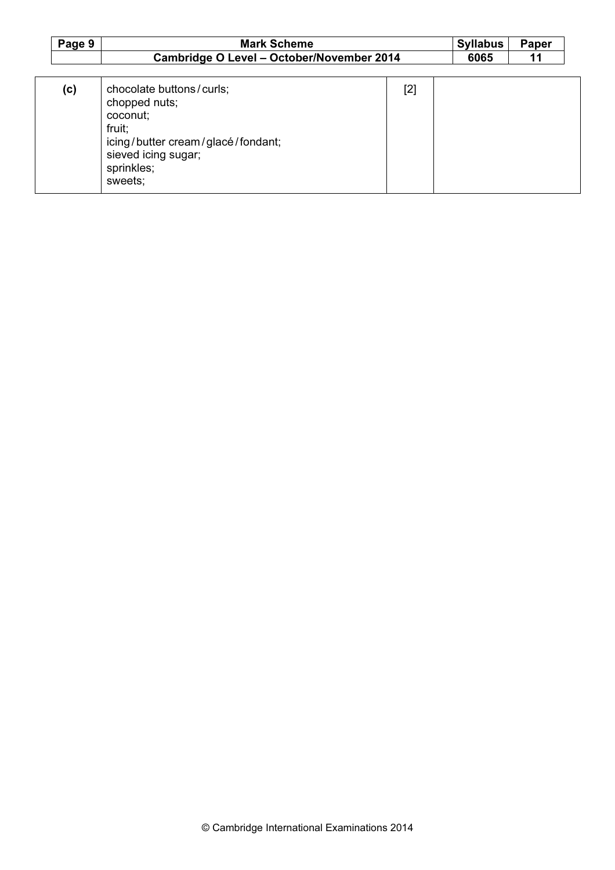| Page 9 | <b>Mark Scheme</b>                                                                                                                                   |       | <b>Syllabus</b> | Paper |
|--------|------------------------------------------------------------------------------------------------------------------------------------------------------|-------|-----------------|-------|
|        | Cambridge O Level - October/November 2014                                                                                                            |       | 6065            | 11    |
| (c)    | chocolate buttons/curls;<br>chopped nuts;<br>coconut;<br>fruit;<br>icing/butter cream/glacé/fondant;<br>sieved icing sugar;<br>sprinkles;<br>sweets; | $[2]$ |                 |       |